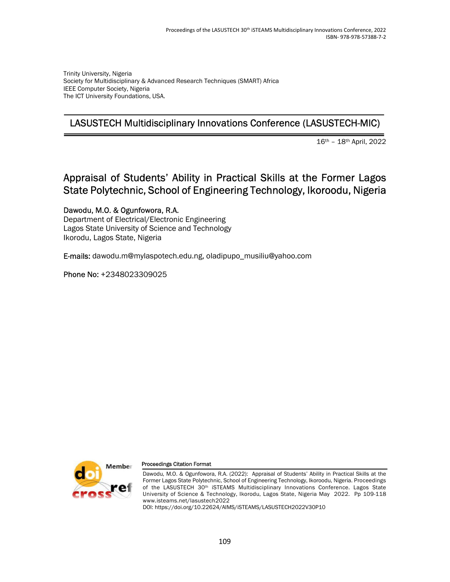Trinity University, Nigeria Society for Multidisciplinary & Advanced Research Techniques (SMART) Africa IEEE Computer Society, Nigeria The ICT University Foundations, USA.

### LASUSTECH Multidisciplinary Innovations Conference (LASUSTECH-MIC)

16th – 18th April, 2022

# Appraisal of Students' Ability in Practical Skills at the Former Lagos State Polytechnic, School of Engineering Technology, Ikoroodu, Nigeria

Dawodu, M.O. & Ogunfowora, R.A.

Department of Electrical/Electronic Engineering Lagos State University of Science and Technology Ikorodu, Lagos State, Nigeria

E-mails: dawodu.m@mylaspotech.edu.ng, oladipupo\_musiliu@yahoo.com

Phone No: +2348023309025



#### Proceedings Citation Format

Dawodu, M.O. & Ogunfowora, R.A. (2022): Appraisal of Students' Ability in Practical Skills at the Former Lagos State Polytechnic, School of Engineering Technology, Ikoroodu, Nigeria. Proceedings of the LASUSTECH 30<sup>th</sup> iSTEAMS Multidisciplinary Innovations Conference. Lagos State University of Science & Technology, Ikorodu, Lagos State, Nigeria May 2022. Pp 109-118 www.isteams.net/lasustech2022

DOI: https://doi.org/10.22624/AIMS/iSTEAMS/LASUSTECH2022V30P10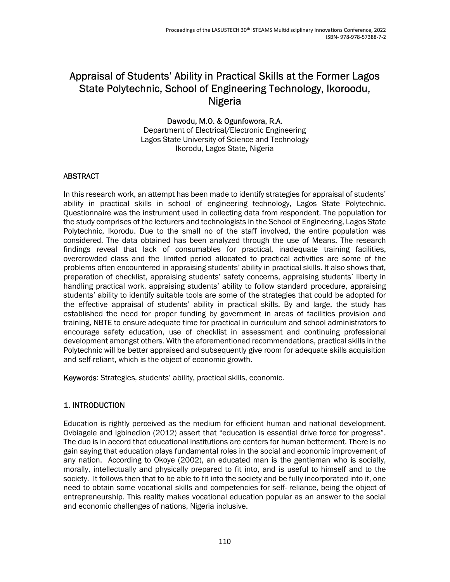## Appraisal of Students' Ability in Practical Skills at the Former Lagos State Polytechnic, School of Engineering Technology, Ikoroodu, Nigeria

#### Dawodu, M.O. & Ogunfowora, R.A. Department of Electrical/Electronic Engineering Lagos State University of Science and Technology Ikorodu, Lagos State, Nigeria

### ABSTRACT

In this research work, an attempt has been made to identify strategies for appraisal of students' ability in practical skills in school of engineering technology, Lagos State Polytechnic. Questionnaire was the instrument used in collecting data from respondent. The population for the study comprises of the lecturers and technologists in the School of Engineering, Lagos State Polytechnic, Ikorodu. Due to the small no of the staff involved, the entire population was considered. The data obtained has been analyzed through the use of Means. The research findings reveal that lack of consumables for practical, inadequate training facilities, overcrowded class and the limited period allocated to practical activities are some of the problems often encountered in appraising students' ability in practical skills. It also shows that, preparation of checklist, appraising students' safety concerns, appraising students' liberty in handling practical work, appraising students' ability to follow standard procedure, appraising students' ability to identify suitable tools are some of the strategies that could be adopted for the effective appraisal of students' ability in practical skills. By and large, the study has established the need for proper funding by government in areas of facilities provision and training, NBTE to ensure adequate time for practical in curriculum and school administrators to encourage safety education, use of checklist in assessment and continuing professional development amongst others. With the aforementioned recommendations, practical skills in the Polytechnic will be better appraised and subsequently give room for adequate skills acquisition and self-reliant, which is the object of economic growth.

Keywords: Strategies, students' ability, practical skills, economic.

### 1. INTRODUCTION

Education is rightly perceived as the medium for efficient human and national development. Ovbiagele and Igbinedion (2012) assert that "education is essential drive force for progress". The duo is in accord that educational institutions are centers for human betterment. There is no gain saying that education plays fundamental roles in the social and economic improvement of any nation. According to Okoye (2002), an educated man is the gentleman who is socially, morally, intellectually and physically prepared to fit into, and is useful to himself and to the society. It follows then that to be able to fit into the society and be fully incorporated into it, one need to obtain some vocational skills and competencies for self- reliance, being the object of entrepreneurship. This reality makes vocational education popular as an answer to the social and economic challenges of nations, Nigeria inclusive.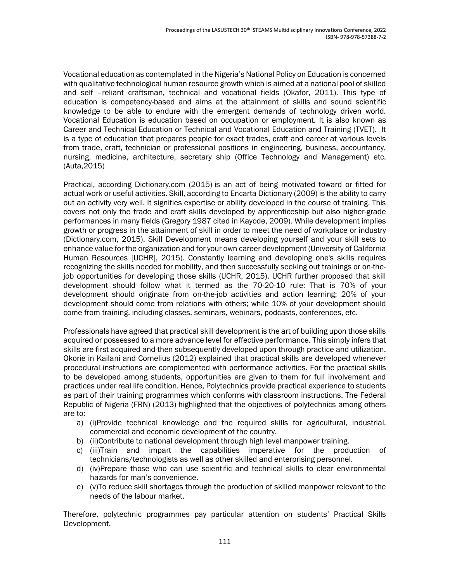Vocational education as contemplated in the Nigeria's National Policy on Education is concerned with qualitative technological human resource growth which is aimed at a national pool of skilled and self –reliant craftsman, technical and vocational fields (Okafor, 2011). This type of education is competency-based and aims at the attainment of skills and sound scientific knowledge to be able to endure with the emergent demands of technology driven world. Vocational Education is education based on occupation or employment. It is also known as Career and Technical Education or Technical and Vocational Education and Training (TVET). It is a type of education that prepares people for exact trades, craft and career at various levels from trade, craft, technician or professional positions in engineering, business, accountancy, nursing, medicine, architecture, secretary ship (Office Technology and Management) etc. (Auta,2015)

Practical, according Dictionary.com (2015) is an act of being motivated toward or fitted for actual work or useful activities. Skill, according to Encarta Dictionary (2009) is the ability to carry out an activity very well. It signifies expertise or ability developed in the course of training. This covers not only the trade and craft skills developed by apprenticeship but also higher-grade performances in many fields (Gregory 1987 cited in Kayode, 2009). While development implies growth or progress in the attainment of skill in order to meet the need of workplace or industry (Dictionary.com, 2015). Skill Development means developing yourself and your skill sets to enhance value for the organization and for your own career development (University of California Human Resources [UCHR], 2015). Constantly learning and developing one's skills requires recognizing the skills needed for mobility, and then successfully seeking out trainings or on-thejob opportunities for developing those skills (UCHR, 2015). UCHR further proposed that skill development should follow what it termed as the 70-20-10 rule: That is 70% of your development should originate from on-the-job activities and action learning; 20% of your development should come from relations with others; while 10% of your development should come from training, including classes, seminars, webinars, podcasts, conferences, etc.

Professionals have agreed that practical skill development is the art of building upon those skills acquired or possessed to a more advance level for effective performance. This simply infers that skills are first acquired and then subsequently developed upon through practice and utilization. Okorie in Kailani and Cornelius (2012) explained that practical skills are developed whenever procedural instructions are complemented with performance activities. For the practical skills to be developed among students, opportunities are given to them for full involvement and practices under real life condition. Hence, Polytechnics provide practical experience to students as part of their training programmes which conforms with classroom instructions. The Federal Republic of Nigeria (FRN) (2013) highlighted that the objectives of polytechnics among others are to:

- a) (i)Provide technical knowledge and the required skills for agricultural, industrial, commercial and economic development of the country.
- b) (ii)Contribute to national development through high level manpower training.
- c) (iii)Train and impart the capabilities imperative for the production of technicians/technologists as well as other skilled and enterprising personnel.
- d) (iv)Prepare those who can use scientific and technical skills to clear environmental hazards for man's convenience.
- e) (v)To reduce skill shortages through the production of skilled manpower relevant to the needs of the labour market.

Therefore, polytechnic programmes pay particular attention on students' Practical Skills Development.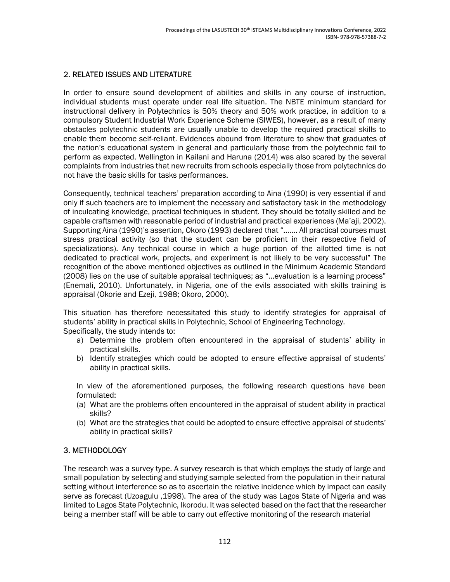#### 2. RELATED ISSUES AND LITERATURE

In order to ensure sound development of abilities and skills in any course of instruction, individual students must operate under real life situation. The NBTE minimum standard for instructional delivery in Polytechnics is 50% theory and 50% work practice, in addition to a compulsory Student Industrial Work Experience Scheme (SIWES), however, as a result of many obstacles polytechnic students are usually unable to develop the required practical skills to enable them become self-reliant. Evidences abound from literature to show that graduates of the nation's educational system in general and particularly those from the polytechnic fail to perform as expected. Wellington in Kailani and Haruna (2014) was also scared by the several complaints from industries that new recruits from schools especially those from polytechnics do not have the basic skills for tasks performances.

Consequently, technical teachers' preparation according to Aina (1990) is very essential if and only if such teachers are to implement the necessary and satisfactory task in the methodology of inculcating knowledge, practical techniques in student. They should be totally skilled and be capable craftsmen with reasonable period of industrial and practical experiences (Ma'aji, 2002). Supporting Aina (1990)'s assertion, Okoro (1993) declared that "……. All practical courses must stress practical activity (so that the student can be proficient in their respective field of specializations). Any technical course in which a huge portion of the allotted time is not dedicated to practical work, projects, and experiment is not likely to be very successful" The recognition of the above mentioned objectives as outlined in the Minimum Academic Standard (2008) lies on the use of suitable appraisal techniques; as "…evaluation is a learning process" (Enemali, 2010). Unfortunately, in Nigeria, one of the evils associated with skills training is appraisal (Okorie and Ezeji, 1988; Okoro, 2000).

This situation has therefore necessitated this study to identify strategies for appraisal of students' ability in practical skills in Polytechnic, School of Engineering Technology. Specifically, the study intends to:

- a) Determine the problem often encountered in the appraisal of students' ability in practical skills.
- b) Identify strategies which could be adopted to ensure effective appraisal of students' ability in practical skills.

In view of the aforementioned purposes, the following research questions have been formulated:

- (a) What are the problems often encountered in the appraisal of student ability in practical skills?
- (b) What are the strategies that could be adopted to ensure effective appraisal of students' ability in practical skills?

#### 3. METHODOLOGY

The research was a survey type. A survey research is that which employs the study of large and small population by selecting and studying sample selected from the population in their natural setting without interference so as to ascertain the relative incidence which by impact can easily serve as forecast (Uzoagulu ,1998). The area of the study was Lagos State of Nigeria and was limited to Lagos State Polytechnic, Ikorodu. It was selected based on the fact that the researcher being a member staff will be able to carry out effective monitoring of the research material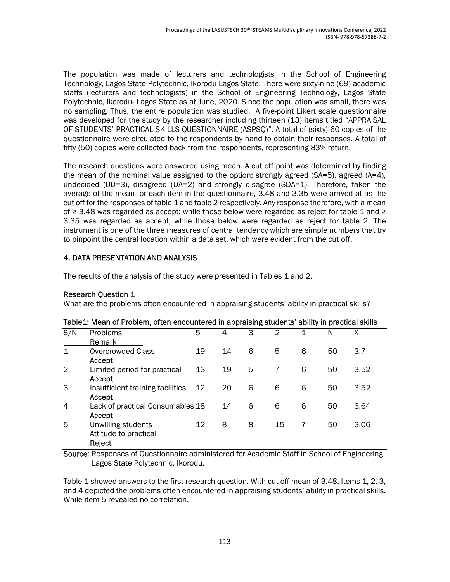The population was made of lecturers and technologists in the School of Engineering Technology, Lagos State Polytechnic, Ikorodu Lagos State. There were sixty-nine (69) academic staffs (lecturers and technologists) in the School of Engineering Technology, Lagos State Polytechnic, Ikorodu- Lagos State as at June, 2020. Since the population was small, there was no sampling. Thus, the entire population was studied. A five-point Likert scale questionnaire was developed for the study-by the researcher including thirteen (13) items titled "APPRAISAL OF STUDENTS' PRACTICAL SKILLS QUESTIONNAIRE (ASPSQ)". A total of (sixty) 60 copies of the questionnaire were circulated to the respondents by hand to obtain their responses. A total of fifty (50) copies were collected back from the respondents, representing 83% return.

The research questions were answered using mean. A cut off point was determined by finding the mean of the nominal value assigned to the option; strongly agreed  $(SA=5)$ , agreed  $(A=4)$ , undecided (UD=3), disagreed (DA=2) and strongly disagree (SDA=1). Therefore, taken the average of the mean for each item in the questionnaire, 3.48 and 3.35 were arrived at as the cut off for the responses of table 1 and table 2 respectively. Any response therefore, with a mean of  $\geq$  3.48 was regarded as accept; while those below were regarded as reject for table 1 and  $\geq$ 3.35 was regarded as accept, while those below were regarded as reject for table 2. The instrument is one of the three measures of central tendency which are simple numbers that try to pinpoint the central location within a data set, which were evident from the cut off.

#### 4. DATA PRESENTATION AND ANALYSIS

The results of the analysis of the study were presented in Tables 1 and 2.

#### Research Question 1

What are the problems often encountered in appraising students' ability in practical skills?

|                | Table I. Mean of Froblem, often encountered in applaising students, ability in practical skills |    |    |   |    |   |    |      |
|----------------|-------------------------------------------------------------------------------------------------|----|----|---|----|---|----|------|
| S/N            | <b>Problems</b>                                                                                 | 5  | 4  | 3 | 2  |   | N  | Х    |
|                | Remark                                                                                          |    |    |   |    |   |    |      |
| $\mathbf{1}$   | <b>Overcrowded Class</b>                                                                        | 19 | 14 | 6 | 5  | 6 | 50 | 3.7  |
|                | Accept                                                                                          |    |    |   |    |   |    |      |
| $\overline{2}$ | Limited period for practical                                                                    | 13 | 19 | 5 |    | 6 | 50 | 3.52 |
|                | Accept                                                                                          |    |    |   |    |   |    |      |
| 3              | Insufficient training facilities                                                                | 12 | 20 | 6 | 6  | 6 | 50 | 3.52 |
|                | Accept                                                                                          |    |    |   |    |   |    |      |
| $\overline{4}$ | Lack of practical Consumables 18                                                                |    | 14 | 6 | 6  | 6 | 50 | 3.64 |
|                | Accept                                                                                          |    |    |   |    |   |    |      |
| 5              | Unwilling students                                                                              | 12 | 8  | 8 | 15 | 7 | 50 | 3.06 |
|                | Attitude to practical                                                                           |    |    |   |    |   |    |      |
|                | Reject                                                                                          |    |    |   |    |   |    |      |

#### Table1: Mean of Problem, often encountered in appraising students' ability in practical skills

Source: Responses of Questionnaire administered for Academic Staff in School of Engineering, Lagos State Polytechnic, Ikorodu.

Table 1 showed answers to the first research question. With cut off mean of 3.48, Items 1, 2, 3, and 4 depicted the problems often encountered in appraising students' ability in practical skills. While item 5 revealed no correlation.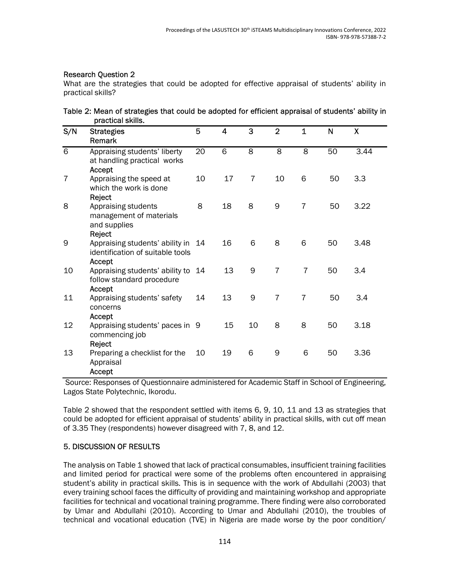#### Research Question 2

What are the strategies that could be adopted for effective appraisal of students' ability in practical skills?

| Table 2: Mean of strategies that could be adopted for efficient appraisal of students' ability in |  |  |
|---------------------------------------------------------------------------------------------------|--|--|
| practical skills.                                                                                 |  |  |

| S/N            | <b>Strategies</b><br>Remark                                                   | 5  | 4  | 3              | $\overline{2}$ | $\mathbf{1}$   | N  | X    |
|----------------|-------------------------------------------------------------------------------|----|----|----------------|----------------|----------------|----|------|
| $\overline{6}$ | Appraising students' liberty<br>at handling practical works<br>Accept         | 20 | 6  | $\overline{8}$ | $\overline{8}$ | $\overline{8}$ | 50 | 3.44 |
| 7              | Appraising the speed at<br>which the work is done<br>Reject                   | 10 | 17 | $\overline{7}$ | 10             | 6              | 50 | 3.3  |
| 8              | Appraising students<br>management of materials<br>and supplies<br>Reject      | 8  | 18 | 8              | 9              | $\overline{7}$ | 50 | 3.22 |
| 9              | Appraising students' ability in<br>identification of suitable tools<br>Accept | 14 | 16 | 6              | 8              | 6              | 50 | 3.48 |
| 10             | Appraising students' ability to<br>follow standard procedure<br>Accept        | 14 | 13 | 9              | $\overline{7}$ | 7              | 50 | 3.4  |
| 11             | Appraising students' safety<br>concerns<br>Accept                             | 14 | 13 | 9              | $\overline{7}$ | $\overline{7}$ | 50 | 3.4  |
| 12             | Appraising students' paces in 9<br>commencing job<br>Reject                   |    | 15 | 10             | 8              | 8              | 50 | 3.18 |
| 13             | Preparing a checklist for the<br>Appraisal<br>Accept                          | 10 | 19 | 6              | 9              | 6              | 50 | 3.36 |

 Source: Responses of Questionnaire administered for Academic Staff in School of Engineering, Lagos State Polytechnic, Ikorodu.

Table 2 showed that the respondent settled with items 6, 9, 10, 11 and 13 as strategies that could be adopted for efficient appraisal of students' ability in practical skills, with cut off mean of 3.35 They (respondents) however disagreed with 7, 8, and 12.

### 5. DISCUSSION OF RESULTS

The analysis on Table 1 showed that lack of practical consumables, insufficient training facilities and limited period for practical were some of the problems often encountered in appraising student's ability in practical skills. This is in sequence with the work of Abdullahi (2003) that every training school faces the difficulty of providing and maintaining workshop and appropriate facilities for technical and vocational training programme. There finding were also corroborated by Umar and Abdullahi (2010). According to Umar and Abdullahi (2010), the troubles of technical and vocational education (TVE) in Nigeria are made worse by the poor condition/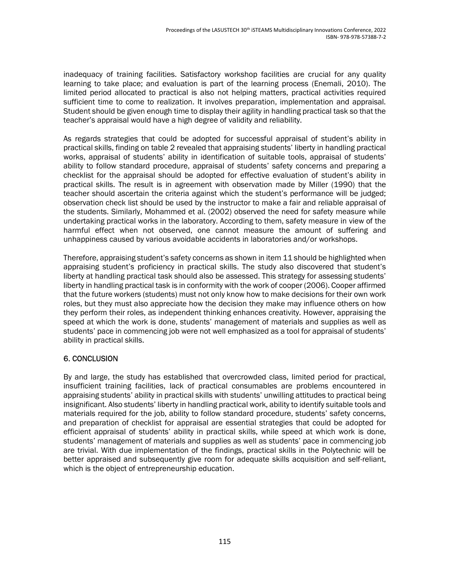inadequacy of training facilities. Satisfactory workshop facilities are crucial for any quality learning to take place; and evaluation is part of the learning process (Enemali, 2010). The limited period allocated to practical is also not helping matters, practical activities required sufficient time to come to realization. It involves preparation, implementation and appraisal. Student should be given enough time to display their agility in handling practical task so that the teacher's appraisal would have a high degree of validity and reliability.

As regards strategies that could be adopted for successful appraisal of student's ability in practical skills, finding on table 2 revealed that appraising students' liberty in handling practical works, appraisal of students' ability in identification of suitable tools, appraisal of students' ability to follow standard procedure, appraisal of students' safety concerns and preparing a checklist for the appraisal should be adopted for effective evaluation of student's ability in practical skills. The result is in agreement with observation made by Miller (1990) that the teacher should ascertain the criteria against which the student's performance will be judged; observation check list should be used by the instructor to make a fair and reliable appraisal of the students. Similarly, Mohammed et al. (2002) observed the need for safety measure while undertaking practical works in the laboratory. According to them, safety measure in view of the harmful effect when not observed, one cannot measure the amount of suffering and unhappiness caused by various avoidable accidents in laboratories and/or workshops.

Therefore, appraising student's safety concerns as shown in item 11 should be highlighted when appraising student's proficiency in practical skills. The study also discovered that student's liberty at handling practical task should also be assessed. This strategy for assessing students' liberty in handling practical task is in conformity with the work of cooper (2006). Cooper affirmed that the future workers (students) must not only know how to make decisions for their own work roles, but they must also appreciate how the decision they make may influence others on how they perform their roles, as independent thinking enhances creativity. However, appraising the speed at which the work is done, students' management of materials and supplies as well as students' pace in commencing job were not well emphasized as a tool for appraisal of students' ability in practical skills.

### 6. CONCLUSION

By and large, the study has established that overcrowded class, limited period for practical, insufficient training facilities, lack of practical consumables are problems encountered in appraising students' ability in practical skills with students' unwilling attitudes to practical being insignificant. Also students' liberty in handling practical work, ability to identify suitable tools and materials required for the job, ability to follow standard procedure, students' safety concerns, and preparation of checklist for appraisal are essential strategies that could be adopted for efficient appraisal of students' ability in practical skills, while speed at which work is done, students' management of materials and supplies as well as students' pace in commencing job are trivial. With due implementation of the findings, practical skills in the Polytechnic will be better appraised and subsequently give room for adequate skills acquisition and self-reliant, which is the object of entrepreneurship education.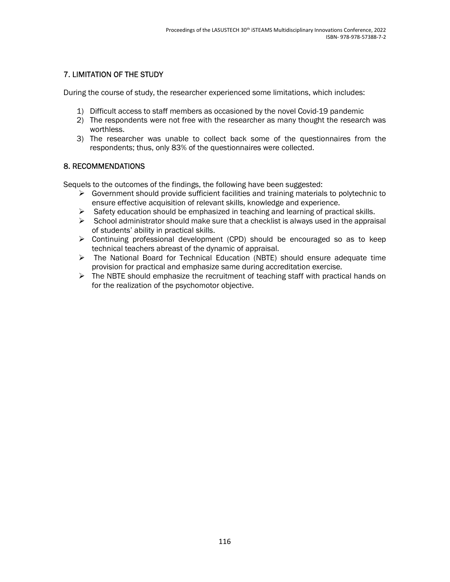### 7. LIMITATION OF THE STUDY

During the course of study, the researcher experienced some limitations, which includes:

- 1) Difficult access to staff members as occasioned by the novel Covid-19 pandemic
- 2) The respondents were not free with the researcher as many thought the research was worthless.
- 3) The researcher was unable to collect back some of the questionnaires from the respondents; thus, only 83% of the questionnaires were collected.

#### 8. RECOMMENDATIONS

Sequels to the outcomes of the findings, the following have been suggested:

- $\triangleright$  Government should provide sufficient facilities and training materials to polytechnic to ensure effective acquisition of relevant skills, knowledge and experience.
- $\triangleright$  Safety education should be emphasized in teaching and learning of practical skills.
- $\triangleright$  School administrator should make sure that a checklist is always used in the appraisal of students' ability in practical skills.
- $\triangleright$  Continuing professional development (CPD) should be encouraged so as to keep technical teachers abreast of the dynamic of appraisal.
- $\triangleright$  The National Board for Technical Education (NBTE) should ensure adequate time provision for practical and emphasize same during accreditation exercise.
- $\triangleright$  The NBTE should emphasize the recruitment of teaching staff with practical hands on for the realization of the psychomotor objective.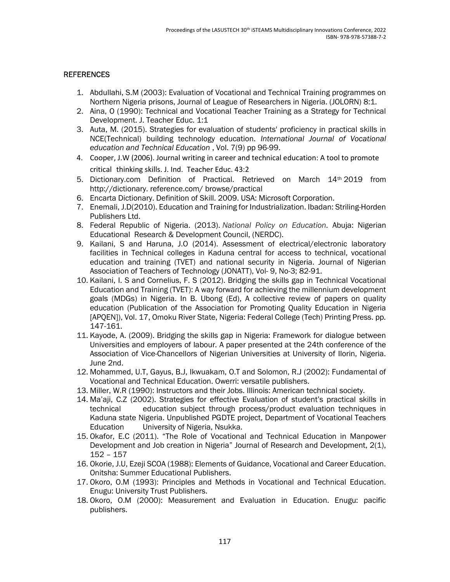#### **REFERENCES**

- 1. Abdullahi, S.M (2003): Evaluation of Vocational and Technical Training programmes on Northern Nigeria prisons, Journal of League of Researchers in Nigeria. (JOLORN) 8:1.
- 2. Aina, O (1990): Technical and Vocational Teacher Training as a Strategy for Technical Development. J. Teacher Educ. 1:1
- 3. Auta, M. (2015). Strategies for evaluation of students' proficiency in practical skills in NCE(Technical) building technology education. International Journal of Vocational education and Technical Education , Vol. 7(9) pp 96-99.
- 4. Cooper, J.W (2006). Journal writing in career and technical education: A tool to promote critical thinking skills. J. Ind. Teacher Educ. 43:2
- 5. Dictionary.com Definition of Practical. Retrieved on March 14th 2019 from http://dictionary. reference.com/ browse/practical
- 6. Encarta Dictionary. Definition of Skill. 2009. USA: Microsoft Corporation.
- 7. Enemali, J.D(2010). Education and Training for Industrialization. Ibadan: Striling-Horden Publishers Ltd.
- 8. Federal Republic of Nigeria. (2013). National Policy on Education. Abuja: Nigerian Educational Research & Development Council, (NERDC).
- 9. Kailani, S and Haruna, J.O (2014). Assessment of electrical/electronic laboratory facilities in Technical colleges in Kaduna central for access to technical, vocational education and training (TVET) and national security in Nigeria. Journal of Nigerian Association of Teachers of Technology (JONATT), Vol- 9, No-3; 82-91.
- 10. Kailani, I. S and Cornelius, F. S (2012). Bridging the skills gap in Technical Vocational Education and Training (TVET): A way forward for achieving the millennium development goals (MDGs) in Nigeria. In B. Ubong (Ed), A collective review of papers on quality education (Publication of the Association for Promoting Quality Education in Nigeria [APQEN]), Vol. 17, Omoku River State, Nigeria: Federal College (Tech) Printing Press. pp. 147-161.
- 11. Kayode, A. (2009). Bridging the skills gap in Nigeria: Framework for dialogue between Universities and employers of labour. A paper presented at the 24th conference of the Association of Vice-Chancellors of Nigerian Universities at University of Ilorin, Nigeria. June 2nd.
- 12. Mohammed, U.T, Gayus, B.J, Ikwuakam, O.T and Solomon, R.J (2002): Fundamental of Vocational and Technical Education. Owerri: versatile publishers.
- 13. Miller, W.R (1990): Instructors and their Jobs. Illinois: American technical society.
- 14. Ma'aji, C.Z (2002). Strategies for effective Evaluation of student's practical skills in technical education subject through process/product evaluation techniques in Kaduna state Nigeria. Unpublished PGDTE project, Department of Vocational Teachers Education University of Nigeria, Nsukka.
- 15. Okafor, E.C (2011). "The Role of Vocational and Technical Education in Manpower Development and Job creation in Nigeria" Journal of Research and Development, 2(1), 152 – 157
- 16. Okorie, J.U, Ezeji SCOA (1988): Elements of Guidance, Vocational and Career Education. Onitsha: Summer Educational Publishers.
- 17. Okoro, O.M (1993): Principles and Methods in Vocational and Technical Education. Enugu: University Trust Publishers.
- 18. Okoro, O.M (2000): Measurement and Evaluation in Education. Enugu: pacific publishers.